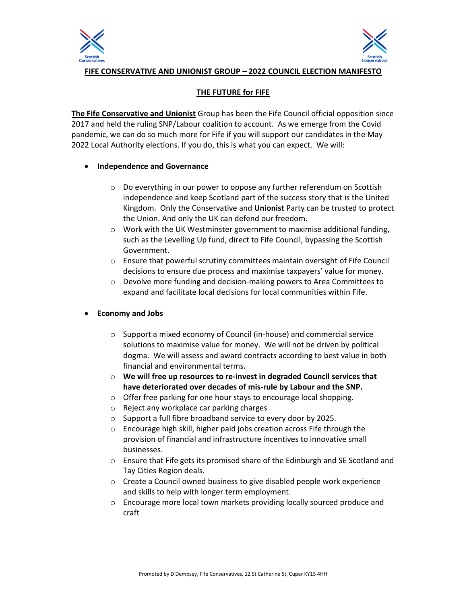



**FIFE CONSERVATIVE AND UNIONIST GROUP – 2022 COUNCIL ELECTION MANIFESTO** 

# **THE FUTURE for FIFE**

**The Fife Conservative and Unionist** Group has been the Fife Council official opposition since 2017 and held the ruling SNP/Labour coalition to account. As we emerge from the Covid pandemic, we can do so much more for Fife if you will support our candidates in the May 2022 Local Authority elections. If you do, this is what you can expect. We will:

## **Independence and Governance**

- o Do everything in our power to oppose any further referendum on Scottish independence and keep Scotland part of the success story that is the United Kingdom. Only the Conservative and **Unionist** Party can be trusted to protect the Union. And only the UK can defend our freedom.
- $\circ$  Work with the UK Westminster government to maximise additional funding, such as the Levelling Up fund, direct to Fife Council, bypassing the Scottish Government.
- o Ensure that powerful scrutiny committees maintain oversight of Fife Council decisions to ensure due process and maximise taxpayers' value for money.
- o Devolve more funding and decision-making powers to Area Committees to expand and facilitate local decisions for local communities within Fife.

# **Economy and Jobs**

- o Support a mixed economy of Council (in-house) and commercial service solutions to maximise value for money. We will not be driven by political dogma. We will assess and award contracts according to best value in both financial and environmental terms.
- o **We will free up resources to re-invest in degraded Council services that have deteriorated over decades of mis-rule by Labour and the SNP.**
- o Offer free parking for one hour stays to encourage local shopping.
- o Reject any workplace car parking charges
- o Support a full fibre broadband service to every door by 2025.
- o Encourage high skill, higher paid jobs creation across Fife through the provision of financial and infrastructure incentives to innovative small businesses.
- o Ensure that Fife gets its promised share of the Edinburgh and SE Scotland and Tay Cities Region deals.
- o Create a Council owned business to give disabled people work experience and skills to help with longer term employment.
- o Encourage more local town markets providing locally sourced produce and craft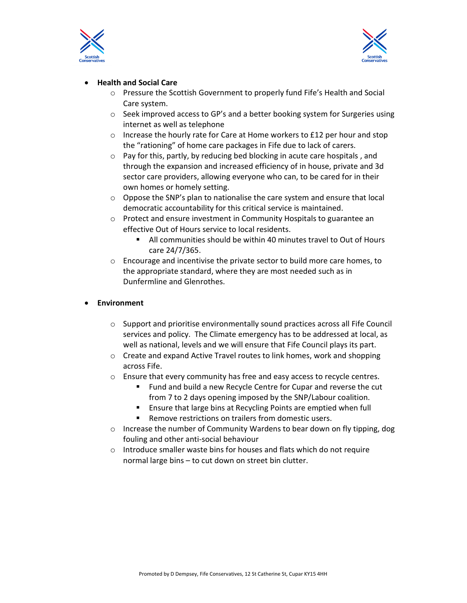



## **Health and Social Care**

- o Pressure the Scottish Government to properly fund Fife's Health and Social Care system.
- $\circ$  Seek improved access to GP's and a better booking system for Surgeries using internet as well as telephone
- $\circ$  Increase the hourly rate for Care at Home workers to £12 per hour and stop the "rationing" of home care packages in Fife due to lack of carers.
- $\circ$  Pay for this, partly, by reducing bed blocking in acute care hospitals, and through the expansion and increased efficiency of in house, private and 3d sector care providers, allowing everyone who can, to be cared for in their own homes or homely setting.
- $\circ$  Oppose the SNP's plan to nationalise the care system and ensure that local democratic accountability for this critical service is maintained.
- o Protect and ensure investment in Community Hospitals to guarantee an effective Out of Hours service to local residents.
	- All communities should be within 40 minutes travel to Out of Hours care 24/7/365.
- $\circ$  Encourage and incentivise the private sector to build more care homes, to the appropriate standard, where they are most needed such as in Dunfermline and Glenrothes.

### **Environment**

- o Support and prioritise environmentally sound practices across all Fife Council services and policy. The Climate emergency has to be addressed at local, as well as national, levels and we will ensure that Fife Council plays its part.
- o Create and expand Active Travel routes to link homes, work and shopping across Fife.
- o Ensure that every community has free and easy access to recycle centres.
	- Fund and build a new Recycle Centre for Cupar and reverse the cut from 7 to 2 days opening imposed by the SNP/Labour coalition.
	- Ensure that large bins at Recycling Points are emptied when full
	- Remove restrictions on trailers from domestic users.
- o Increase the number of Community Wardens to bear down on fly tipping, dog fouling and other anti-social behaviour
- o Introduce smaller waste bins for houses and flats which do not require normal large bins – to cut down on street bin clutter.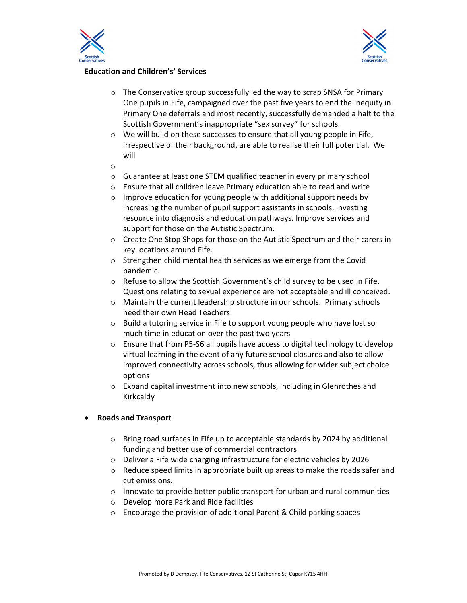



# **Education and Children's' Services**

- o The Conservative group successfully led the way to scrap SNSA for Primary One pupils in Fife, campaigned over the past five years to end the inequity in Primary One deferrals and most recently, successfully demanded a halt to the Scottish Government's inappropriate "sex survey" for schools.
- o We will build on these successes to ensure that all young people in Fife, irrespective of their background, are able to realise their full potential. We will
- o
- o Guarantee at least one STEM qualified teacher in every primary school
- o Ensure that all children leave Primary education able to read and write
- o Improve education for young people with additional support needs by increasing the number of pupil support assistants in schools, investing resource into diagnosis and education pathways. Improve services and support for those on the Autistic Spectrum.
- o Create One Stop Shops for those on the Autistic Spectrum and their carers in key locations around Fife.
- o Strengthen child mental health services as we emerge from the Covid pandemic.
- $\circ$  Refuse to allow the Scottish Government's child survey to be used in Fife. Questions relating to sexual experience are not acceptable and ill conceived.
- o Maintain the current leadership structure in our schools. Primary schools need their own Head Teachers.
- o Build a tutoring service in Fife to support young people who have lost so much time in education over the past two years
- o Ensure that from P5-S6 all pupils have access to digital technology to develop virtual learning in the event of any future school closures and also to allow improved connectivity across schools, thus allowing for wider subject choice options
- o Expand capital investment into new schools, including in Glenrothes and Kirkcaldy

#### **Roads and Transport**

- o Bring road surfaces in Fife up to acceptable standards by 2024 by additional funding and better use of commercial contractors
- o Deliver a Fife wide charging infrastructure for electric vehicles by 2026
- $\circ$  Reduce speed limits in appropriate built up areas to make the roads safer and cut emissions.
- $\circ$  Innovate to provide better public transport for urban and rural communities
- o Develop more Park and Ride facilities
- $\circ$  Encourage the provision of additional Parent & Child parking spaces